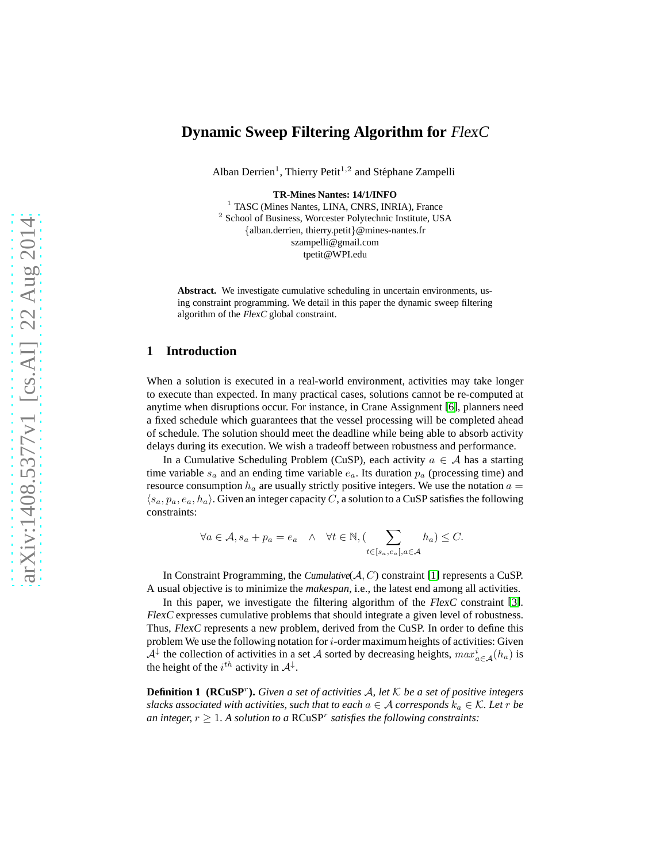# **Dynamic Sweep Filtering Algorithm for** FlexC

Alban Derrien<sup>1</sup>, Thierry Petit<sup>1,2</sup> and Stéphane Zampelli

**TR-Mines Nantes: 14/1/INFO**

<sup>1</sup> TASC (Mines Nantes, LINA, CNRS, INRIA), France <sup>2</sup> School of Business, Worcester Polytechnic Institute, USA {alban.derrien, thierry.petit}@mines-nantes.fr szampelli@gmail.com tpetit@WPI.edu

**Abstract.** We investigate cumulative scheduling in uncertain environments, using constraint programming. We detail in this paper the dynamic sweep filtering algorithm of the FlexC global constraint.

### **1 Introduction**

When a solution is executed in a real-world environment, activities may take longer to execute than expected. In many practical cases, solutions cannot be re-computed at anytime when disruptions occur. For instance, in Crane Assignment [6], planners need a fixed schedule which guarantees that the vessel processing will be completed ahead of schedule. The solution should meet the deadline while being able to absorb activity delays during its execution. We wish a tradeoff between robustness and performance.

In a Cumulative Scheduling Problem (CuSP), each activity  $a \in A$  has a starting time variable  $s_a$  and an ending time variable  $e_a$ . Its duration  $p_a$  (processing time) and resource consumption  $h_a$  are usually strictly positive integers. We use the notation  $a =$  $\langle s_a, p_a, e_a, h_a \rangle$ . Given an integer capacity C, a solution to a CuSP satisfies the following constraints:

$$
\forall a \in \mathcal{A}, s_a + p_a = e_a \quad \land \quad \forall t \in \mathbb{N}, (\sum_{t \in [s_a, e_a], a \in \mathcal{A}} h_a) \leq C.
$$

In Constraint Programming, the Cumulative( $A, C$ ) constraint [\[1\]](#page-8-0) represents a CuSP. A usual objective is to minimize the *makespan*, i.e., the latest end among all activities.

In this paper, we investigate the filtering algorithm of the FlexC constraint [\[3\]](#page-8-1). FlexC expresses cumulative problems that should integrate a given level of robustness. Thus, FlexC represents a new problem, derived from the CuSP. In order to define this problem We use the following notation for  $i$ -order maximum heights of activities: Given  $\mathcal{A}^{\downarrow}$  the collection of activities in a set A sorted by decreasing heights,  $max_{a \in \mathcal{A}}^i(h_a)$  is the height of the  $i^{th}$  activity in  $A^{\downarrow}$ .

**Definition 1 (RCuSP**<sup>r</sup> **).** *Given a set of activities* A*, let* K *be a set of positive integers slacks associated with activities, such that to each*  $a \in \mathcal{A}$  *corresponds*  $k_a \in \mathcal{K}$ *. Let* r *be an integer,*  $r \geq 1$ . A solution to a  $RC \cup NP^r$  satisfies the following constraints: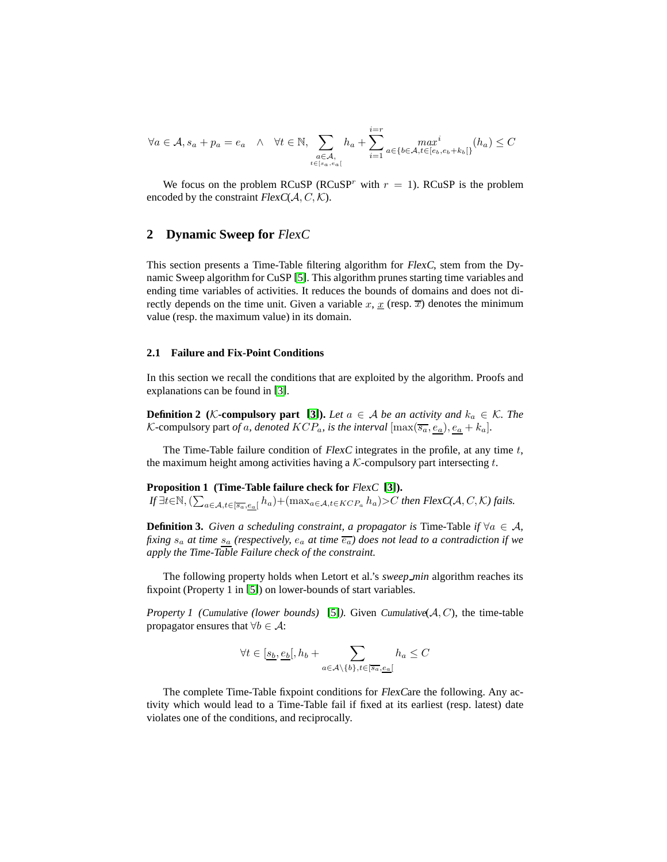$$
\forall a \in \mathcal{A}, s_a + p_a = e_a \quad \land \quad \forall t \in \mathbb{N}, \sum_{\substack{a \in \mathcal{A}, \\ t \in [s_a, e_a[}} h_a + \sum_{i=1}^{i=r} \max_{a \in \{b \in \mathcal{A}, t \in [e_b, e_b + k_b[\}} (h_a) \le C
$$

We focus on the problem RCuSP (RCuSP<sup>r</sup> with  $r = 1$ ). RCuSP is the problem encoded by the constraint  $FlexC(A, C, \mathcal{K})$ .

#### **2 Dynamic Sweep for** FlexC

This section presents a Time-Table filtering algorithm for FlexC, stem from the Dynamic Sweep algorithm for CuSP [\[5\]](#page-8-2). This algorithm prunes starting time variables and ending time variables of activities. It reduces the bounds of domains and does not directly depends on the time unit. Given a variable x,  $\underline{x}$  (resp.  $\overline{x}$ ) denotes the minimum value (resp. the maximum value) in its domain.

#### **2.1 Failure and Fix-Point Conditions**

In this section we recall the conditions that are exploited by the algorithm. Proofs and explanations can be found in [\[3\]](#page-8-1).

**Definition 2** (*K*-compulsory part [\[3\]](#page-8-1)). Let  $a \in A$  be an activity and  $k_a \in K$ . The *K*-compulsory part *of a*, denoted  $KCP_a$ , is the interval  $[\max(\overline{s_a}, \underline{e_a}), \underline{e_a} + k_a]$ .

The Time-Table failure condition of  $FlexC$  integrates in the profile, at any time  $t$ , the maximum height among activities having a  $K$ -compulsory part intersecting  $t$ .

#### **Proposition 1 (Time-Table failure check for** FlexC **[\[3\]](#page-8-1)).**

*If* ∃*t*∈N,  $(\sum_{a \in A, t \in [\overline{s_a}, e_a[} h_a) + (\max_{a \in A, t \in KCP_a} h_a) > C$  *then* FlexC(A, C, K) fails.

**Definition 3.** *Given a scheduling constraint, a propagator is* Time-Table *if*  $\forall a \in A$ , *fixing*  $s_a$  *at time*  $s_a$  *(respectively,*  $e_a$  *at time*  $\overline{e_a}$ *)* does not lead to a contradiction if we *apply the Time-Table Failure check of the constraint.*

The following property holds when Letort et al.'s *sweep min* algorithm reaches its fixpoint (Property 1 in [\[5\]](#page-8-2)) on lower-bounds of start variables.

*Property 1 (Cumulative (lower bounds)* [\[5\]](#page-8-2)). Given Cumulative( $A, C$ ), the time-table propagator ensures that  $\forall b \in \mathcal{A}$ :

<span id="page-1-1"></span>
$$
\forall t \in [\underline{s_b}, \underline{e_b}], h_b + \sum_{a \in \mathcal{A} \backslash \{b\}, t \in [\overline{s_a}, \underline{e_a}]} h_a \le C
$$

<span id="page-1-0"></span>The complete Time-Table fixpoint conditions for FlexCare the following. Any activity which would lead to a Time-Table fail if fixed at its earliest (resp. latest) date violates one of the conditions, and reciprocally.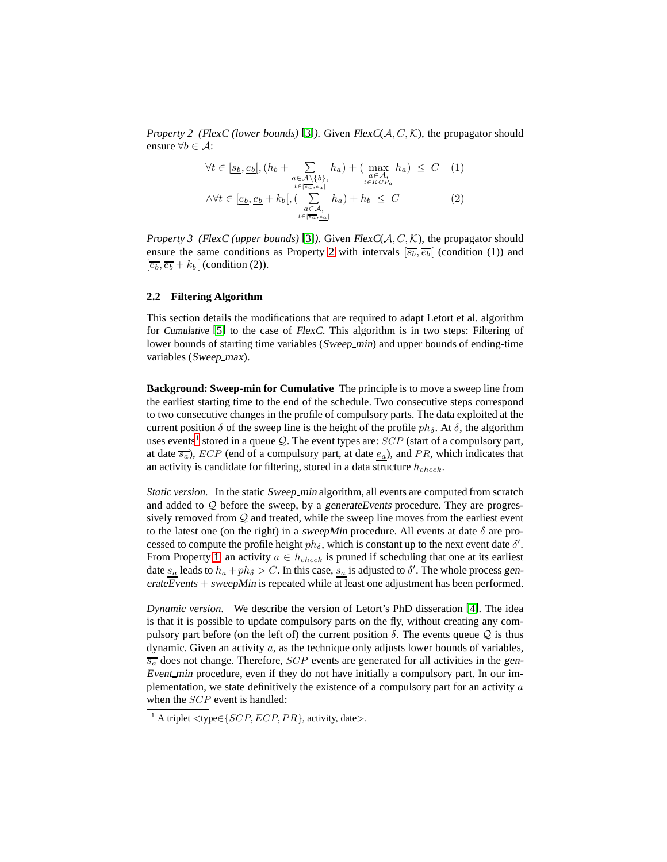*Property 2 (*FlexC *(lower bounds)* [\[3\]](#page-8-1)*).* Given FlexC(A, C, K), the propagator should ensure  $\forall b \in \mathcal{A}$ :

$$
\forall t \in [\underline{s_b, e_b}, (h_b + \sum_{\substack{a \in A \setminus \{b\}, \\ t \in [\overline{s_a}, \underline{e_a}]} \atop t \in \overline{s_a}, \underline{e_a}]} h_a) + (\max_{\substack{a \in A, \\ t \in KCP_a}} h_a) \leq C \quad (1)
$$
  

$$
\land \forall t \in [\underline{e_b, e_b} + k_b], (\sum_{\substack{a \in A, \\ t \in [\overline{s_a}, \underline{e_a}]} \atop t \in [\overline{s_a}, \underline{e_a}]} h_a) + h_b \leq C \quad (2)
$$

*Property 3 (*FlexC *(upper bounds)* [\[3\]](#page-8-1)*).* Given FlexC(A, C, K), the propagator should ensure the same conditions as Property [2](#page-1-0) with intervals  $\overline{s_b}, \overline{e_b}$  (condition (1)) and  $\left[\overline{e_b}, \overline{e_b} + k_b\right]$  (condition (2)).

#### **2.2 Filtering Algorithm**

This section details the modifications that are required to adapt Letort et al. algorithm for Cumulative [\[5\]](#page-8-2) to the case of FlexC. This algorithm is in two steps: Filtering of lower bounds of starting time variables (Sweep\_min) and upper bounds of ending-time variables (Sweep\_max).

**Background: Sweep-min for Cumulative** The principle is to move a sweep line from the earliest starting time to the end of the schedule. Two consecutive steps correspond to two consecutive changes in the profile of compulsory parts. The data exploited at the current position  $\delta$  of the sweep line is the height of the profile  $ph_{\delta}$ . At  $\delta$ , the algorithm uses events<sup>[1](#page-2-0)</sup> stored in a queue  $\mathcal Q$ . The event types are:  $SCP$  (start of a compulsory part, at date  $\overline{s_a}$ ),  $ECP$  (end of a compulsory part, at date  $e_a$ ), and PR, which indicates that an activity is candidate for filtering, stored in a data structure  $h_{check}$ .

*Static version.* In the static Sweep\_min algorithm, all events are computed from scratch and added to  $\mathcal{Q}$  before the sweep, by a generate Events procedure. They are progressively removed from Q and treated, while the sweep line moves from the earliest event to the latest one (on the right) in a sweepMin procedure. All events at date  $\delta$  are processed to compute the profile height  $ph_{\delta}$ , which is constant up to the next event date  $\delta'$ . From Property [1,](#page-1-1) an activity  $a \in h_{check}$  is pruned if scheduling that one at its earliest date  $s_a$  leads to  $h_a + ph_\delta > C$ . In this case,  $s_a$  is adjusted to  $\delta'$ . The whole process generateEvents + sweepMin is repeated while at least one adjustment has been performed.

*Dynamic version.* We describe the version of Letort's PhD disseration [\[4\]](#page-8-3). The idea is that it is possible to update compulsory parts on the fly, without creating any compulsory part before (on the left of) the current position  $\delta$ . The events queue  $Q$  is thus dynamic. Given an activity  $a$ , as the technique only adjusts lower bounds of variables,  $\overline{s_a}$  does not change. Therefore, *SCP* events are generated for all activities in the gen-Event\_min procedure, even if they do not have initially a compulsory part. In our implementation, we state definitively the existence of a compulsory part for an activity  $a$ when the *SCP* event is handled:

<span id="page-2-1"></span><span id="page-2-0"></span><sup>&</sup>lt;sup>1</sup> A triplet <type  $\in \{SCP, ECB, PR\}$ , activity, date>.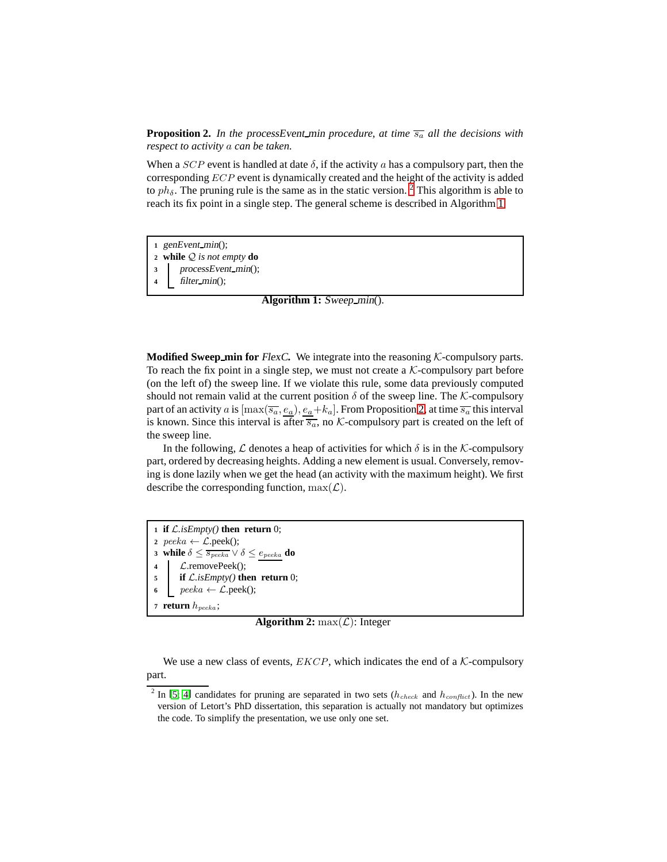**Proposition 2.** In the processEvent min procedure, at time  $\overline{s_a}$  all the decisions with *respect to activity* a *can be taken.*

When a  $SCP$  event is handled at date  $\delta$ , if the activity a has a compulsory part, then the corresponding ECP event is dynamically created and the height of the activity is added to  $ph_{\delta}$ . The pruning rule is the same as in the static version. <sup>[2](#page-3-0)</sup> This algorithm is able to reach its fix point in a single step. The general scheme is described in Algorithm [1.](#page-3-1)

<span id="page-3-1"></span>**<sup>1</sup>** genEvent min(); **<sup>2</sup> while** Q *is not empty* **do** 3 processEvent\_min(); **<sup>4</sup>** filter min(); **Algorithm 1:** Sweep\_min().

**Modified Sweep\_min for** FlexC. We integrate into the reasoning  $K$ -compulsory parts. To reach the fix point in a single step, we must not create a  $K$ -compulsory part before (on the left of) the sweep line. If we violate this rule, some data previously computed should not remain valid at the current position  $\delta$  of the sweep line. The K-compulsory part of an activity  $a$  is  $[\max(\overline{s_a},e_a),e_a+k_a]$ . From Proposition [2,](#page-2-1) at time  $\overline{s_a}$  this interval is known. Since this interval is after  $\overline{s_a}$ , no K-compulsory part is created on the left of the sweep line.

In the following,  $\mathcal L$  denotes a heap of activities for which  $\delta$  is in the K-compulsory part, ordered by decreasing heights. Adding a new element is usual. Conversely, removing is done lazily when we get the head (an activity with the maximum height). We first describe the corresponding function,  $\max(\mathcal{L})$ .

 **if** L*.isEmpty()* **then return** 0;  $\textit{peeka} \leftarrow \mathcal{L}.\textit{peek}();$  **while**  $\delta \leq \frac{1}{s_{peeka}} \vee \delta \leq \frac{e_{peeka}}{s_{peeka}}$  **do**  L.removePeek(); **if** L*.isEmpty()* **then return** 0;  $\qquad$  peeka  $\leftarrow \mathcal{L}.\text{peak}()$ ; **return** hpeeka ;

**Algorithm 2:** max $(\mathcal{L})$ : Integer

We use a new class of events,  $EKCP$ , which indicates the end of a  $K$ -compulsory part.

<span id="page-3-0"></span><sup>&</sup>lt;sup>2</sup> In [\[5;](#page-8-2) [4\]](#page-8-3) candidates for pruning are separated in two sets ( $h_{check}$  and  $h_{conflict}$ ). In the new version of Letort's PhD dissertation, this separation is actually not mandatory but optimizes the code. To simplify the presentation, we use only one set.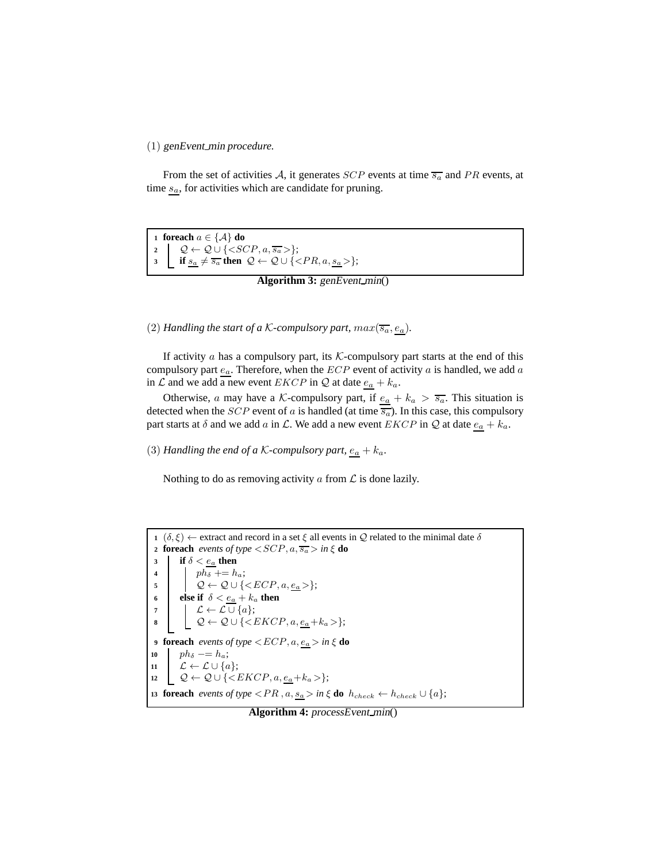(1) genEvent min *procedure.*

From the set of activities A, it generates  $SCP$  events at time  $\overline{s_a}$  and PR events, at time  $s_a$ , for activities which are candidate for pruning.

**<sup>1</sup> foreach** a ∈ {A} **do**  $2 \left[ \mathcal{Q} \leftarrow \mathcal{Q} \cup \{\leq SCP, a, \overline{s_a} \right\};$ **3 if**  $s_a \neq \overline{s_a}$  **then**  $\mathcal{Q} \leftarrow \mathcal{Q} \cup \{\langle PR, a, \underline{s_a} \rangle\};$ 

```
Algorithm 3: genEvent_min()
```
(2) *Handling the start of a K-compulsory part,*  $max(\overline{s_a}, \underline{e_a})$ *.* 

If activity  $\alpha$  has a compulsory part, its K-compulsory part starts at the end of this compulsory part  $e_a$ . Therefore, when the  $ECP$  event of activity a is handled, we add a in  $\mathcal L$  and we add a new event  $EKCP$  in  $\mathcal Q$  at date  $\underline{e_a} + k_a$ .

Otherwise, a may have a K-compulsory part, if  $\underline{e_a} + k_a > \overline{s_a}$ . This situation is detected when the *SCP* event of a is handled (at time  $\overline{s_a}$ ). In this case, this compulsory part starts at  $\delta$  and we add a in  $\mathcal{L}$ . We add a new event  $EKCP$  in  $\mathcal{Q}$  at date  $\underline{e_a} + k_a$ .

(3) *Handling the end of a K-compulsory part*,  $\underline{e_a} + k_a$ .

Nothing to do as removing activity  $\alpha$  from  $\mathcal L$  is done lazily.

```
1 (\delta, \xi) \leftarrow extract and record in a set \xi all events in \mathcal Q related to the minimal date \delta2 foreach events of type \langle SCP, a, \overline{s_a} \rangle in \xi do
 3 if \delta < \underline{e_a} then
  4 ph_{\delta} \neq h_a;5 \qquad \qquad \mathcal{Q} \leftarrow \mathcal{Q} \cup \{\langle ECP, a, e_a \rangle\};6 else if \delta < e_a + k_a then
  7 \downarrow \mathcal{L} \leftarrow \mathcal{L} \cup \{a\};8 \downarrow \downarrow \varphi \leftarrow \varphi \cup \{\langle EKCP, a, e_a + k_a \rangle\};9 foreach events of type \lt ECP, a, \underline{e_a} > in \xi do
10 ph_{\delta} \equiv -h_a;\begin{array}{c|c} \hline \textbf{11} & \textbf{12} \leftarrow \mathcal{L} \cup \{a\}; \hline \end{array}\mathcal{Q} \leftarrow \mathcal{Q} \cup \{\langle EKCP, a, \underline{e_a} + k_a \rangle\};13 foreach events of type \langle PR, a, \underline{s_a} \rangle in \xi do h_{check} \leftarrow h_{check} \cup \{a\};
```
### **Algorithm 4:** processEvent\_min()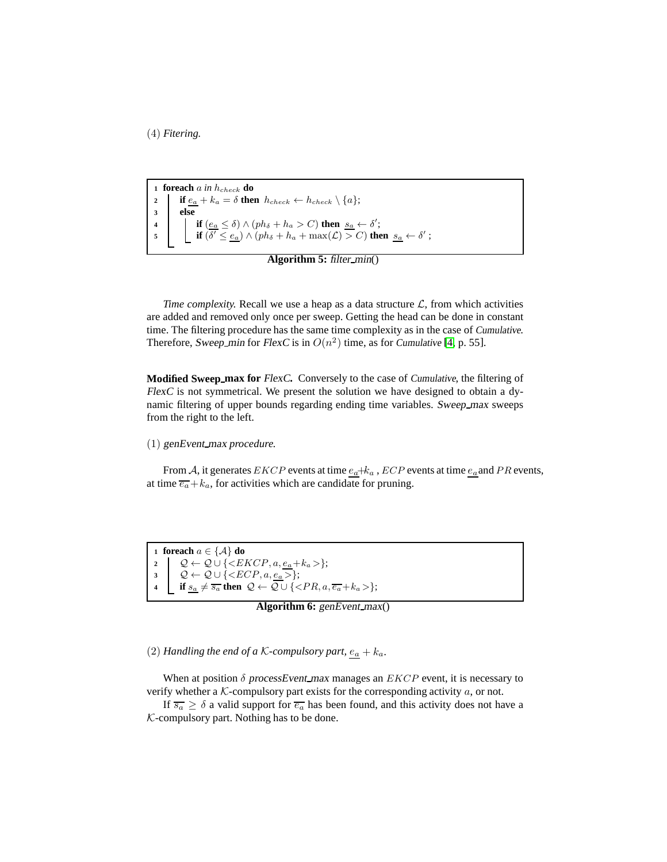(4) *Fitering.*

 **foreach**  $a$  *in*  $h_{check}$  **do if**  $e_a + k_a = \delta$  **then**  $h_{check} \leftarrow h_{check} \setminus \{a\};$ **<sup>3</sup> else if**  $(e_a \leq \delta) \wedge (ph_\delta + h_a > C)$  **then**  $s_a \leftarrow \delta'$ ; **if**  $(\overline{\delta'} \leq e_a) \wedge (ph_\delta + h_a + \max(\mathcal{L}) > C)$  then  $s_a \leftarrow \delta'$ ;

**Algorithm 5:** filter\_min()

*Time complexity.* Recall we use a heap as a data structure  $\mathcal{L}$ , from which activities are added and removed only once per sweep. Getting the head can be done in constant time. The filtering procedure has the same time complexity as in the case of Cumulative. Therefore, Sweep\_min for FlexC is in  $O(n^2)$  time, as for Cumulative [\[4,](#page-8-3) p. 55].

**Modified Sweep max for** FlexC**.** Conversely to the case of Cumulative, the filtering of FlexC is not symmetrical. We present the solution we have designed to obtain a dynamic filtering of upper bounds regarding ending time variables. Sweep\_max sweeps from the right to the left.

(1) genEvent max *procedure.*

From A, it generates EKCP events at time  $e_a+k_a$ , ECP events at time  $e_a$  and PR events, at time  $\overline{e_a} + k_a$ , for activities which are candidate for pruning.

 **foreach** a ∈ {A} **do**  $\downarrow$   $\mathcal{Q} \leftarrow \mathcal{Q} \cup \{\langle EKCP, a, \underline{e_a} + k_a \rangle\};$  $\mathcal{Q} \leftarrow \mathcal{Q} \cup \{\langle ECP, a, \underline{e_a} \rangle\};$ **if**  $s_a \neq \overline{s_a}$  **then**  $\mathcal{Q} \leftarrow \mathcal{Q} \cup \{\langle PR, a, \overline{e_a} + k_a \rangle\};$ 

**Algorithm 6:** genEvent\_max()

(2) *Handling the end of a K-compulsory part,*  $e_a + k_a$ .

When at position  $\delta$  processEvent max manages an  $EKCP$  event, it is necessary to verify whether a  $K$ -compulsory part exists for the corresponding activity  $a$ , or not.

If  $\overline{s_a} \geq \delta$  a valid support for  $\overline{e_a}$  has been found, and this activity does not have a  $K$ -compulsory part. Nothing has to be done.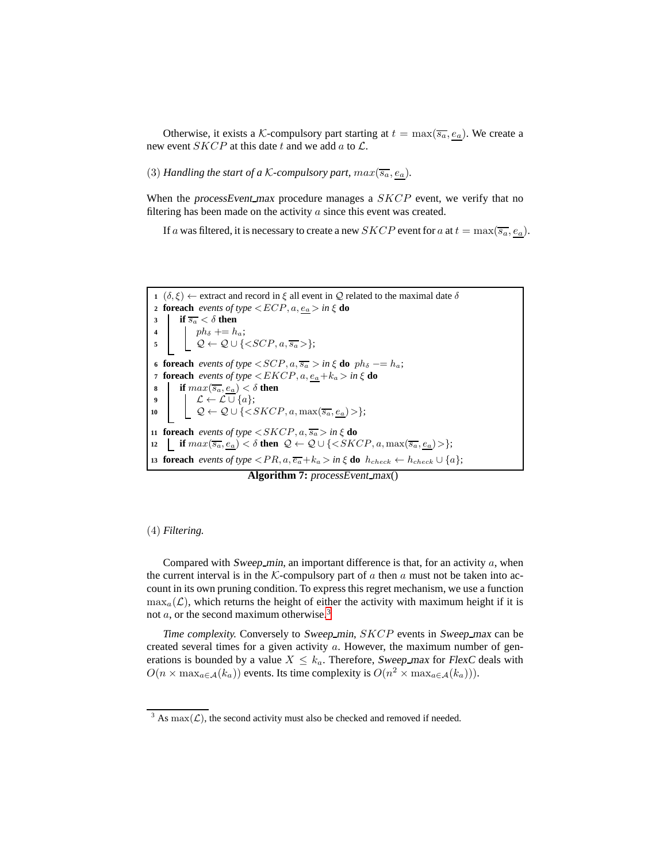Otherwise, it exists a K-compulsory part starting at  $t = \max(\overline{s_a}, e_a)$ . We create a new event  $SKCP$  at this date t and we add a to  $\mathcal{L}$ .

(3) *Handling the start of a K-compulsory part,*  $max(\overline{s_a}, e_a)$ *.* 

When the processEvent max procedure manages a  $SKCP$  event, we verify that no filtering has been made on the activity  $\alpha$  since this event was created.

If a was filtered, it is necessary to create a new *SKCP* event for a at  $t = \max(\overline{s_a}, e_a)$ .



**Algorithm 7:** processEvent\_max()

#### (4) *Filtering.*

Compared with Sweep min, an important difference is that, for an activity  $a$ , when the current interval is in the K-compulsory part of a then a must not be taken into account in its own pruning condition. To express this regret mechanism, we use a function  $\max_{a}(\mathcal{L})$ , which returns the height of either the activity with maximum height if it is not a, or the second maximum otherwise.<sup>[3](#page-6-0)</sup>

*Time complexity.* Conversely to Sweep\_min, SKCP events in Sweep\_max can be created several times for a given activity  $a$ . However, the maximum number of generations is bounded by a value  $X \leq k_a$ . Therefore, Sweep max for FlexC deals with  $O(n \times \max_{a \in \mathcal{A}} (k_a))$  events. Its time complexity is  $O(n^2 \times \max_{a \in \mathcal{A}} (k_a)))$ .

<span id="page-6-0"></span><sup>&</sup>lt;sup>3</sup> As  $max(\mathcal{L})$ , the second activity must also be checked and removed if needed.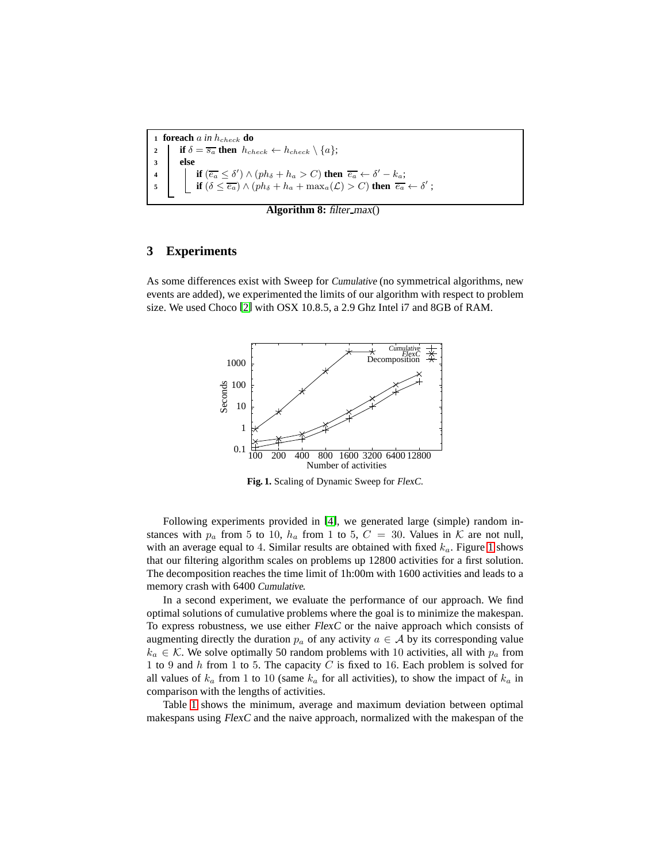**foreach** a *in* hcheck **do if**  $\delta = \overline{s_a}$  **then**  $h_{check} \leftarrow h_{check} \setminus \{a\};$ **<sup>3</sup> else if**  $\overline{(e_a} \leq \delta') \wedge (ph_\delta + h_a > C)$  **then**  $\overline{e_a} \leftarrow \delta' - k_a$ ; **if**  $(\delta \leq \overline{e_a}) \wedge (ph_\delta + h_a + \max_a(\mathcal{L}) > C)$  then  $\overline{e_a} \leftarrow \delta'$ ;

**Algorithm 8:** filter\_max()

# **3 Experiments**

As some differences exist with Sweep for Cumulative (no symmetrical algorithms, new events are added), we experimented the limits of our algorithm with respect to problem size. We used Choco [\[2\]](#page-8-4) with OSX 10.8.5, a 2.9 Ghz Intel i7 and 8GB of RAM.



<span id="page-7-0"></span>**Fig. 1.** Scaling of Dynamic Sweep for FlexC.

Following experiments provided in [\[4\]](#page-8-3), we generated large (simple) random instances with  $p_a$  from 5 to 10,  $h_a$  from 1 to 5,  $C = 30$ . Values in K are not null, with an average equal to 4. Similar results are obtained with fixed  $k_a$ . Figure [1](#page-7-0) shows that our filtering algorithm scales on problems up 12800 activities for a first solution. The decomposition reaches the time limit of 1h:00m with 1600 activities and leads to a memory crash with 6400 Cumulative.

In a second experiment, we evaluate the performance of our approach. We find optimal solutions of cumulative problems where the goal is to minimize the makespan. To express robustness, we use either FlexC or the naive approach which consists of augmenting directly the duration  $p_a$  of any activity  $a \in A$  by its corresponding value  $k_a \in \mathcal{K}$ . We solve optimally 50 random problems with 10 activities, all with  $p_a$  from 1 to 9 and  $h$  from 1 to 5. The capacity  $C$  is fixed to 16. Each problem is solved for all values of  $k_a$  from 1 to 10 (same  $k_a$  for all activities), to show the impact of  $k_a$  in comparison with the lengths of activities.

Table [1](#page-8-5) shows the minimum, average and maximum deviation between optimal makespans using FlexC and the naive approach, normalized with the makespan of the